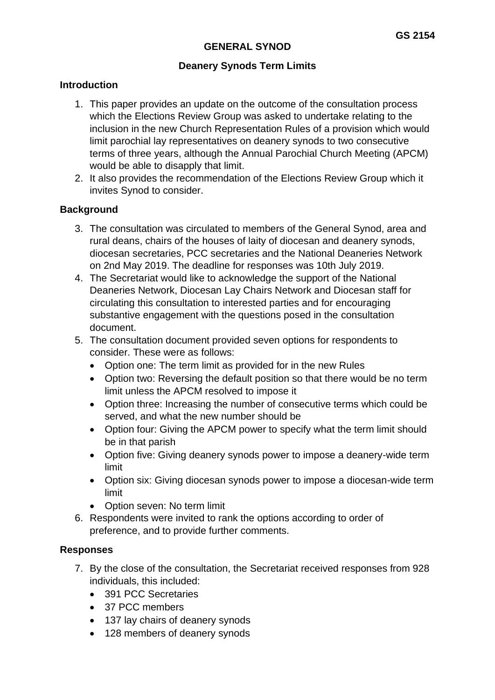## **Deanery Synods Term Limits**

### **Introduction**

- 1. This paper provides an update on the outcome of the consultation process which the Elections Review Group was asked to undertake relating to the inclusion in the new Church Representation Rules of a provision which would limit parochial lay representatives on deanery synods to two consecutive terms of three years, although the Annual Parochial Church Meeting (APCM) would be able to disapply that limit.
- 2. It also provides the recommendation of the Elections Review Group which it invites Synod to consider.

## **Background**

- 3. The consultation was circulated to members of the General Synod, area and rural deans, chairs of the houses of laity of diocesan and deanery synods, diocesan secretaries, PCC secretaries and the National Deaneries Network on 2nd May 2019. The deadline for responses was 10th July 2019.
- 4. The Secretariat would like to acknowledge the support of the National Deaneries Network, Diocesan Lay Chairs Network and Diocesan staff for circulating this consultation to interested parties and for encouraging substantive engagement with the questions posed in the consultation document.
- 5. The consultation document provided seven options for respondents to consider. These were as follows:
	- Option one: The term limit as provided for in the new Rules
	- Option two: Reversing the default position so that there would be no term limit unless the APCM resolved to impose it
	- Option three: Increasing the number of consecutive terms which could be served, and what the new number should be
	- Option four: Giving the APCM power to specify what the term limit should be in that parish
	- Option five: Giving deanery synods power to impose a deanery-wide term limit
	- Option six: Giving diocesan synods power to impose a diocesan-wide term limit
	- Option seven: No term limit
- 6. Respondents were invited to rank the options according to order of preference, and to provide further comments.

## **Responses**

- 7. By the close of the consultation, the Secretariat received responses from 928 individuals, this included:
	- 391 PCC Secretaries
	- 37 PCC members
	- 137 lay chairs of deanery synods
	- 128 members of deanery synods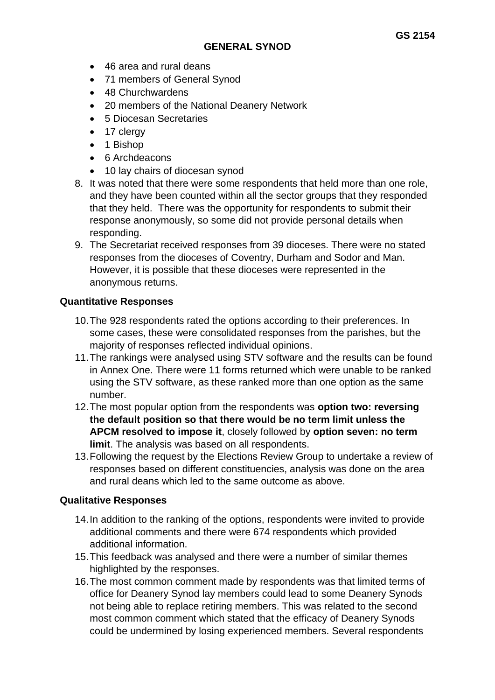- 46 area and rural deans
- 71 members of General Synod
- 48 Churchwardens
- 20 members of the National Deanery Network
- 5 Diocesan Secretaries
- 17 clergy
- 1 Bishop
- 6 Archdeacons
- 10 lay chairs of diocesan synod
- 8. It was noted that there were some respondents that held more than one role, and they have been counted within all the sector groups that they responded that they held. There was the opportunity for respondents to submit their response anonymously, so some did not provide personal details when responding.
- 9. The Secretariat received responses from 39 dioceses. There were no stated responses from the dioceses of Coventry, Durham and Sodor and Man. However, it is possible that these dioceses were represented in the anonymous returns.

## **Quantitative Responses**

- 10.The 928 respondents rated the options according to their preferences. In some cases, these were consolidated responses from the parishes, but the majority of responses reflected individual opinions.
- 11.The rankings were analysed using STV software and the results can be found in Annex One. There were 11 forms returned which were unable to be ranked using the STV software, as these ranked more than one option as the same number.
- 12.The most popular option from the respondents was **option two: reversing the default position so that there would be no term limit unless the APCM resolved to impose it**, closely followed by **option seven: no term limit**. The analysis was based on all respondents.
- 13.Following the request by the Elections Review Group to undertake a review of responses based on different constituencies, analysis was done on the area and rural deans which led to the same outcome as above.

## **Qualitative Responses**

- 14.In addition to the ranking of the options, respondents were invited to provide additional comments and there were 674 respondents which provided additional information.
- 15.This feedback was analysed and there were a number of similar themes highlighted by the responses.
- 16.The most common comment made by respondents was that limited terms of office for Deanery Synod lay members could lead to some Deanery Synods not being able to replace retiring members. This was related to the second most common comment which stated that the efficacy of Deanery Synods could be undermined by losing experienced members. Several respondents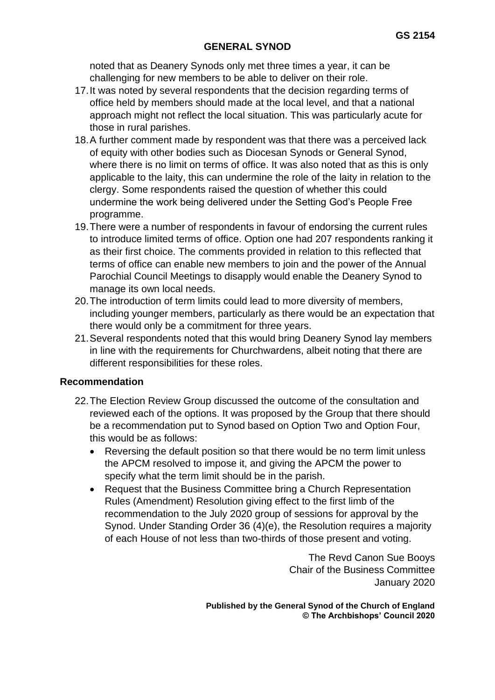noted that as Deanery Synods only met three times a year, it can be challenging for new members to be able to deliver on their role.

- 17.It was noted by several respondents that the decision regarding terms of office held by members should made at the local level, and that a national approach might not reflect the local situation. This was particularly acute for those in rural parishes.
- 18.A further comment made by respondent was that there was a perceived lack of equity with other bodies such as Diocesan Synods or General Synod, where there is no limit on terms of office. It was also noted that as this is only applicable to the laity, this can undermine the role of the laity in relation to the clergy. Some respondents raised the question of whether this could undermine the work being delivered under the Setting God's People Free programme.
- 19.There were a number of respondents in favour of endorsing the current rules to introduce limited terms of office. Option one had 207 respondents ranking it as their first choice. The comments provided in relation to this reflected that terms of office can enable new members to join and the power of the Annual Parochial Council Meetings to disapply would enable the Deanery Synod to manage its own local needs.
- 20.The introduction of term limits could lead to more diversity of members, including younger members, particularly as there would be an expectation that there would only be a commitment for three years.
- 21.Several respondents noted that this would bring Deanery Synod lay members in line with the requirements for Churchwardens, albeit noting that there are different responsibilities for these roles.

#### **Recommendation**

- 22.The Election Review Group discussed the outcome of the consultation and reviewed each of the options. It was proposed by the Group that there should be a recommendation put to Synod based on Option Two and Option Four, this would be as follows:
	- Reversing the default position so that there would be no term limit unless the APCM resolved to impose it, and giving the APCM the power to specify what the term limit should be in the parish.
	- Request that the Business Committee bring a Church Representation Rules (Amendment) Resolution giving effect to the first limb of the recommendation to the July 2020 group of sessions for approval by the Synod. Under Standing Order 36 (4)(e), the Resolution requires a majority of each House of not less than two-thirds of those present and voting.

The Revd Canon Sue Booys Chair of the Business Committee January 2020

**Published by the General Synod of the Church of England © The Archbishops' Council 2020**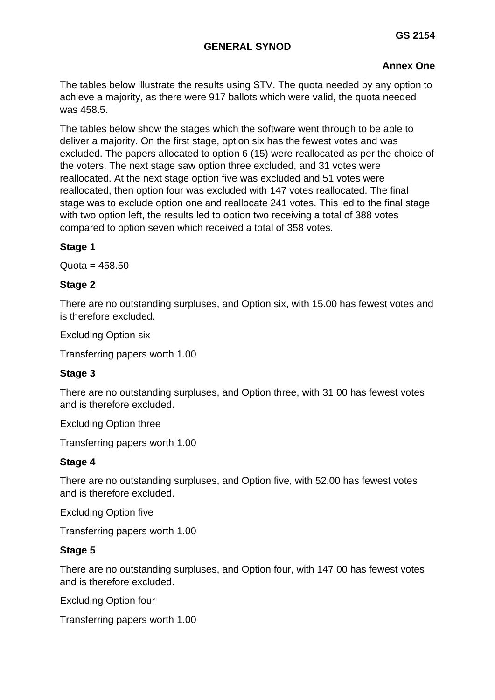# **Annex One**

The tables below illustrate the results using STV. The quota needed by any option to achieve a majority, as there were 917 ballots which were valid, the quota needed was 458.5.

The tables below show the stages which the software went through to be able to deliver a majority. On the first stage, option six has the fewest votes and was excluded. The papers allocated to option 6 (15) were reallocated as per the choice of the voters. The next stage saw option three excluded, and 31 votes were reallocated. At the next stage option five was excluded and 51 votes were reallocated, then option four was excluded with 147 votes reallocated. The final stage was to exclude option one and reallocate 241 votes. This led to the final stage with two option left, the results led to option two receiving a total of 388 votes compared to option seven which received a total of 358 votes.

## **Stage 1**

 $Quota = 458.50$ 

## **Stage 2**

There are no outstanding surpluses, and Option six, with 15.00 has fewest votes and is therefore excluded.

Excluding Option six

Transferring papers worth 1.00

## **Stage 3**

There are no outstanding surpluses, and Option three, with 31.00 has fewest votes and is therefore excluded.

Excluding Option three

Transferring papers worth 1.00

## **Stage 4**

There are no outstanding surpluses, and Option five, with 52.00 has fewest votes and is therefore excluded.

Excluding Option five

Transferring papers worth 1.00

## **Stage 5**

There are no outstanding surpluses, and Option four, with 147.00 has fewest votes and is therefore excluded.

Excluding Option four

Transferring papers worth 1.00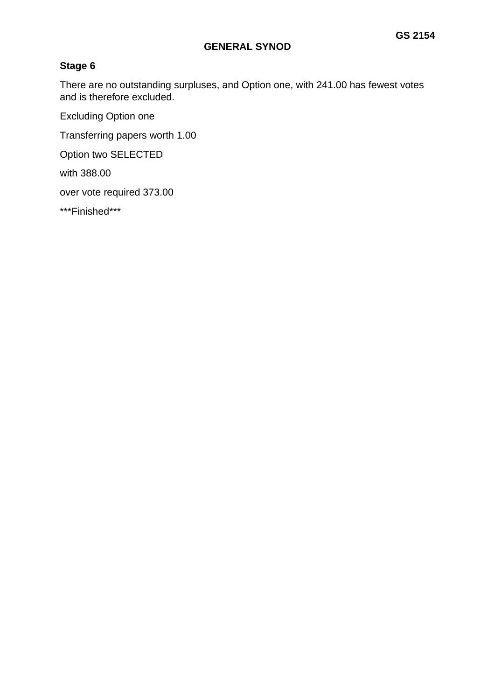# **Stage 6**

There are no outstanding surpluses, and Option one, with 241.00 has fewest votes and is therefore excluded.

Excluding Option one

Transferring papers worth 1.00

Option two SELECTED

with 388.00

over vote required 373.00

\*\*\*Finished\*\*\*